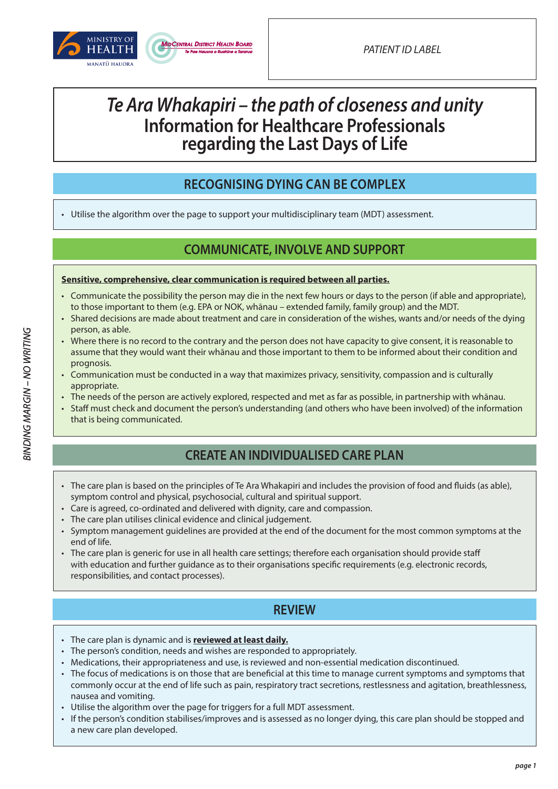

## *Te Ara Whakapiri – the path of closeness and unity* **Information for Healthcare Professionals regarding the Last Days of Life**

### **RECOGNISING DYING CAN BE COMPLEX**

• Utilise the algorithm over the page to support your multidisciplinary team (MDT) assessment.

### **COMMUNICATE, INVOLVE AND SUPPORT**

### **Sensitive, comprehensive, clear communication is required between all parties.**

- Communicate the possibility the person may die in the next few hours or days to the person (if able and appropriate), to those important to them (e.g. EPA or NOK, whānau – extended family, family group) and the MDT.
- Shared decisions are made about treatment and care in consideration of the wishes, wants and/or needs of the dying person, as able.
- Where there is no record to the contrary and the person does not have capacity to give consent, it is reasonable to assume that they would want their whānau and those important to them to be informed about their condition and prognosis.
- Communication must be conducted in a way that maximizes privacy, sensitivity, compassion and is culturally appropriate.
- The needs of the person are actively explored, respected and met as far as possible, in partnership with whānau.
- Staff must check and document the person's understanding (and others who have been involved) of the information that is being communicated.

### **CREATE AN INDIVIDUALISED CARE PLAN**

- The care plan is based on the principles of Te Ara Whakapiri and includes the provision of food and fluids (as able), symptom control and physical, psychosocial, cultural and spiritual support.
- Care is agreed, co-ordinated and delivered with dignity, care and compassion.
- The care plan utilises clinical evidence and clinical judgement.
- Symptom management guidelines are provided at the end of the document for the most common symptoms at the end of life.
- The care plan is generic for use in all health care settings; therefore each organisation should provide staff with education and further guidance as to their organisations specific requirements (e.g. electronic records, responsibilities, and contact processes).

### **REVIEW**

- The care plan is dynamic and is **reviewed at least daily.**
- The person's condition, needs and wishes are responded to appropriately.
- Medications, their appropriateness and use, is reviewed and non-essential medication discontinued.
- The focus of medications is on those that are beneficial at this time to manage current symptoms and symptoms that commonly occur at the end of life such as pain, respiratory tract secretions, restlessness and agitation, breathlessness, nausea and vomiting.
- Utilise the algorithm over the page for triggers for a full MDT assessment.
- If the person's condition stabilises/improves and is assessed as no longer dying, this care plan should be stopped and a new care plan developed.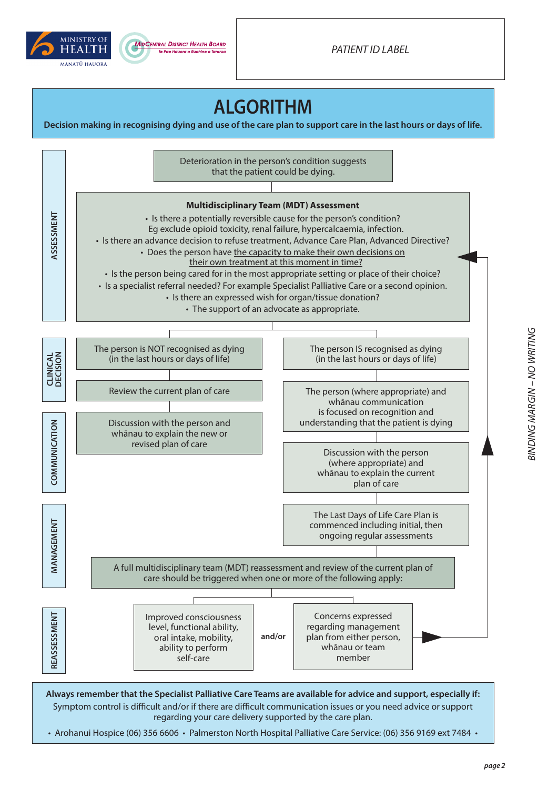



*PATIENT ID LABEL*

## **ALGORITHM**

**Decision making in recognising dying and use of the care plan to support care in the last hours or days of life.**



• Arohanui Hospice (06) 356 6606 • Palmerston North Hospital Palliative Care Service: (06) 356 9169 ext 7484 •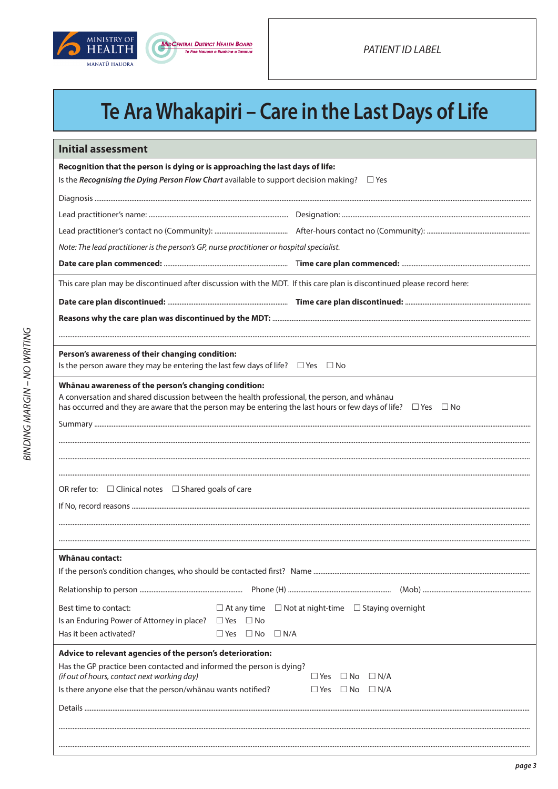



# Te Ara Whakapiri - Care in the Last Days of Life

| <b>Initial assessment</b>                                                                                                                                                                                                                                                        |                                                                      |
|----------------------------------------------------------------------------------------------------------------------------------------------------------------------------------------------------------------------------------------------------------------------------------|----------------------------------------------------------------------|
| Recognition that the person is dying or is approaching the last days of life:                                                                                                                                                                                                    |                                                                      |
| Is the Recognising the Dying Person Flow Chart available to support decision making? $\square$ Yes                                                                                                                                                                               |                                                                      |
|                                                                                                                                                                                                                                                                                  |                                                                      |
|                                                                                                                                                                                                                                                                                  |                                                                      |
|                                                                                                                                                                                                                                                                                  |                                                                      |
| Note: The lead practitioner is the person's GP, nurse practitioner or hospital specialist.                                                                                                                                                                                       |                                                                      |
|                                                                                                                                                                                                                                                                                  |                                                                      |
| This care plan may be discontinued after discussion with the MDT. If this care plan is discontinued please record here:                                                                                                                                                          |                                                                      |
|                                                                                                                                                                                                                                                                                  |                                                                      |
|                                                                                                                                                                                                                                                                                  |                                                                      |
|                                                                                                                                                                                                                                                                                  |                                                                      |
| Person's awareness of their changing condition:                                                                                                                                                                                                                                  |                                                                      |
| Is the person aware they may be entering the last few days of life? $\square$ Yes $\square$ No                                                                                                                                                                                   |                                                                      |
| Whānau awareness of the person's changing condition:<br>A conversation and shared discussion between the health professional, the person, and whānau<br>has occurred and they are aware that the person may be entering the last hours or few days of life? $\Box$ Yes $\Box$ No |                                                                      |
|                                                                                                                                                                                                                                                                                  |                                                                      |
|                                                                                                                                                                                                                                                                                  |                                                                      |
|                                                                                                                                                                                                                                                                                  |                                                                      |
|                                                                                                                                                                                                                                                                                  |                                                                      |
| OR refer to: $\Box$ Clinical notes $\Box$ Shared goals of care                                                                                                                                                                                                                   |                                                                      |
|                                                                                                                                                                                                                                                                                  |                                                                      |
|                                                                                                                                                                                                                                                                                  |                                                                      |
|                                                                                                                                                                                                                                                                                  |                                                                      |
| Whānau contact:                                                                                                                                                                                                                                                                  |                                                                      |
|                                                                                                                                                                                                                                                                                  |                                                                      |
|                                                                                                                                                                                                                                                                                  |                                                                      |
| Best time to contact:                                                                                                                                                                                                                                                            | $\Box$ At any time $\Box$ Not at night-time $\Box$ Staying overnight |
| Is an Enduring Power of Attorney in place? $\Box$ Yes<br>$\Box$ No                                                                                                                                                                                                               |                                                                      |
| Has it been activated?<br>$\Box$ No<br>$\Box$ N/A<br>$\Box$ Yes                                                                                                                                                                                                                  |                                                                      |
| Advice to relevant agencies of the person's deterioration:                                                                                                                                                                                                                       |                                                                      |
| Has the GP practice been contacted and informed the person is dying?<br>(if out of hours, contact next working day)                                                                                                                                                              | $\square$ No<br>$\Box$ N/A<br>$\Box$ Yes                             |
| Is there anyone else that the person/whānau wants notified?                                                                                                                                                                                                                      | $\square$ No<br>$\Box$ N/A<br>$\Box$ Yes                             |
|                                                                                                                                                                                                                                                                                  |                                                                      |
|                                                                                                                                                                                                                                                                                  |                                                                      |
|                                                                                                                                                                                                                                                                                  |                                                                      |
|                                                                                                                                                                                                                                                                                  |                                                                      |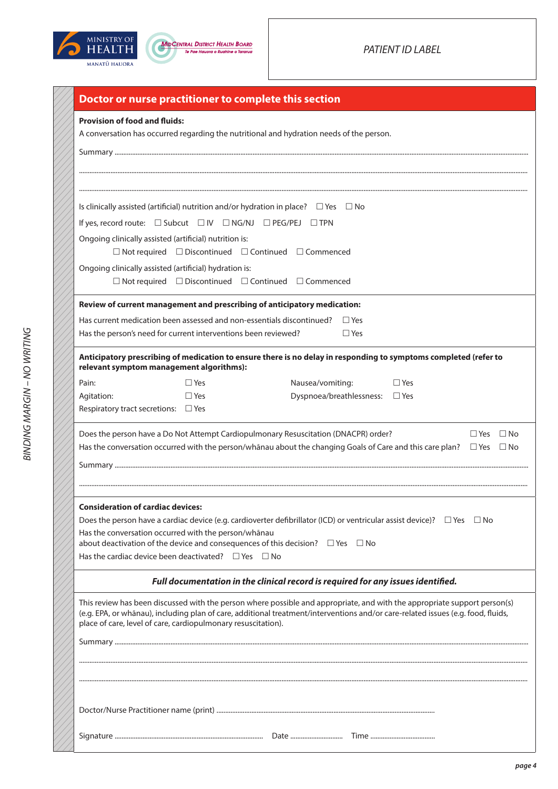



| Doctor or nurse practitioner to complete this section                 |            |                                                                                                                                                                                                                                                               |  |
|-----------------------------------------------------------------------|------------|---------------------------------------------------------------------------------------------------------------------------------------------------------------------------------------------------------------------------------------------------------------|--|
| <b>Provision of food and fluids:</b>                                  |            | A conversation has occurred regarding the nutritional and hydration needs of the person.                                                                                                                                                                      |  |
|                                                                       |            |                                                                                                                                                                                                                                                               |  |
|                                                                       |            |                                                                                                                                                                                                                                                               |  |
|                                                                       |            |                                                                                                                                                                                                                                                               |  |
|                                                                       |            | Is clinically assisted (artificial) nutrition and/or hydration in place? $\square$ Yes $\square$ No                                                                                                                                                           |  |
| If yes, record route: □ Subcut □ IV □ NG/NJ □ PEG/PEJ □ TPN           |            |                                                                                                                                                                                                                                                               |  |
| Ongoing clinically assisted (artificial) nutrition is:                |            | $\Box$ Not required $\Box$ Discontinued $\Box$ Continued $\Box$ Commenced                                                                                                                                                                                     |  |
| Ongoing clinically assisted (artificial) hydration is:                |            |                                                                                                                                                                                                                                                               |  |
|                                                                       |            | $\Box$ Not required $\Box$ Discontinued $\Box$ Continued $\Box$ Commenced                                                                                                                                                                                     |  |
|                                                                       |            | Review of current management and prescribing of anticipatory medication:                                                                                                                                                                                      |  |
| Has current medication been assessed and non-essentials discontinued? |            | $\Box$ Yes                                                                                                                                                                                                                                                    |  |
| Has the person's need for current interventions been reviewed?        |            | $\Box$ Yes                                                                                                                                                                                                                                                    |  |
| relevant symptom management algorithms):                              |            | Anticipatory prescribing of medication to ensure there is no delay in responding to symptoms completed (refer to                                                                                                                                              |  |
| Pain:                                                                 | $\Box$ Yes | Nausea/vomiting:<br>$\Box$ Yes                                                                                                                                                                                                                                |  |
| Agitation:                                                            | $\Box$ Yes | Dyspnoea/breathlessness:<br>$\square$ Yes                                                                                                                                                                                                                     |  |
| Respiratory tract secretions: □ Yes                                   |            |                                                                                                                                                                                                                                                               |  |
|                                                                       |            | Does the person have a Do Not Attempt Cardiopulmonary Resuscitation (DNACPR) order?<br>$\Box$ Yes $\Box$ No                                                                                                                                                   |  |
|                                                                       |            | Has the conversation occurred with the person/whānau about the changing Goals of Care and this care plan? $\square$ Yes $\square$ No                                                                                                                          |  |
|                                                                       |            |                                                                                                                                                                                                                                                               |  |
|                                                                       |            |                                                                                                                                                                                                                                                               |  |
| <b>Consideration of cardiac devices:</b>                              |            |                                                                                                                                                                                                                                                               |  |
|                                                                       |            | Does the person have a cardiac device (e.g. cardioverter defibrillator (ICD) or ventricular assist device)? $\Box$ Yes $\Box$ No                                                                                                                              |  |
| Has the conversation occurred with the person/whānau                  |            | about deactivation of the device and consequences of this decision? $\square$ Yes $\square$ No                                                                                                                                                                |  |
| Has the cardiac device been deactivated? $\Box$ Yes $\Box$ No         |            |                                                                                                                                                                                                                                                               |  |
|                                                                       |            | Full documentation in the clinical record is required for any issues identified.                                                                                                                                                                              |  |
|                                                                       |            |                                                                                                                                                                                                                                                               |  |
| place of care, level of care, cardiopulmonary resuscitation).         |            | This review has been discussed with the person where possible and appropriate, and with the appropriate support person(s)<br>(e.g. EPA, or whanau), including plan of care, additional treatment/interventions and/or care-related issues (e.g. food, fluids, |  |
|                                                                       |            |                                                                                                                                                                                                                                                               |  |
|                                                                       |            |                                                                                                                                                                                                                                                               |  |
|                                                                       |            |                                                                                                                                                                                                                                                               |  |
|                                                                       |            |                                                                                                                                                                                                                                                               |  |
|                                                                       |            |                                                                                                                                                                                                                                                               |  |
|                                                                       |            |                                                                                                                                                                                                                                                               |  |
|                                                                       |            |                                                                                                                                                                                                                                                               |  |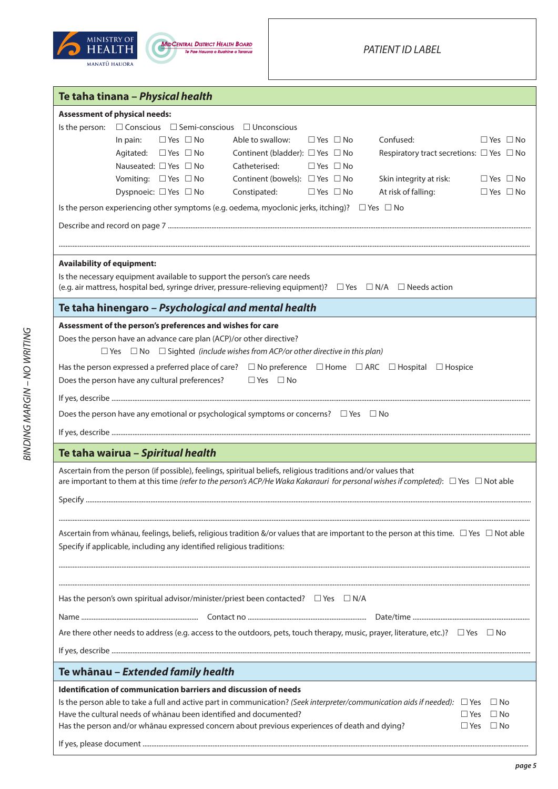



| Te taha tinana - Physical health                                                                                                                                                                                                                               |
|----------------------------------------------------------------------------------------------------------------------------------------------------------------------------------------------------------------------------------------------------------------|
| <b>Assessment of physical needs:</b>                                                                                                                                                                                                                           |
| Is the person: □ Conscious □ Semi-conscious □ Unconscious                                                                                                                                                                                                      |
| Confused:<br>In pain:<br>$\Box$ Yes $\Box$ No<br>Able to swallow:<br>$\Box$ Yes $\Box$ No<br>$\Box$ Yes $\Box$ No                                                                                                                                              |
| Agitated: □ Yes □ No<br>Continent (bladder): $\Box$ Yes $\Box$ No<br>Respiratory tract secretions: $\Box$ Yes $\Box$ No                                                                                                                                        |
| Nauseated: □ Yes □ No<br>Catheterised:<br>$\Box$ Yes $\Box$ No                                                                                                                                                                                                 |
| Continent (bowels): $\Box$ Yes $\Box$ No<br>Vomiting: $\Box$ Yes $\Box$ No<br>Skin integrity at risk:<br>$\Box$ Yes $\Box$ No                                                                                                                                  |
| Dyspnoeic: □ Yes □ No<br>Constipated:<br>At risk of falling:<br>$\Box$ Yes $\Box$ No<br>$\Box$ Yes $\Box$ No                                                                                                                                                   |
| Is the person experiencing other symptoms (e.g. oedema, myoclonic jerks, itching)? $\Box$ Yes $\Box$ No                                                                                                                                                        |
|                                                                                                                                                                                                                                                                |
|                                                                                                                                                                                                                                                                |
| <b>Availability of equipment:</b>                                                                                                                                                                                                                              |
| Is the necessary equipment available to support the person's care needs                                                                                                                                                                                        |
| (e.g. air mattress, hospital bed, syringe driver, pressure-relieving equipment)? $\Box$ Yes $\Box$ N/A $\Box$ Needs action                                                                                                                                     |
| Te taha hinengaro - Psychological and mental health                                                                                                                                                                                                            |
| Assessment of the person's preferences and wishes for care                                                                                                                                                                                                     |
| Does the person have an advance care plan (ACP)/or other directive?                                                                                                                                                                                            |
| $\Box$ Yes $\Box$ No $\Box$ Sighted (include wishes from ACP/or other directive in this plan)                                                                                                                                                                  |
| Has the person expressed a preferred place of care? $\Box$ No preference $\Box$ Home $\Box$ ARC $\Box$ Hospital $\Box$ Hospice                                                                                                                                 |
| Does the person have any cultural preferences?<br>$\Box$ Yes $\Box$ No                                                                                                                                                                                         |
|                                                                                                                                                                                                                                                                |
| Does the person have any emotional or psychological symptoms or concerns? $\Box$ Yes $\Box$ No                                                                                                                                                                 |
|                                                                                                                                                                                                                                                                |
| Te taha wairua - Spiritual health                                                                                                                                                                                                                              |
| Ascertain from the person (if possible), feelings, spiritual beliefs, religious traditions and/or values that<br>are important to them at this time (refer to the person's ACP/He Waka Kakarauri for personal wishes if completed): $\Box$ Yes $\Box$ Not able |
|                                                                                                                                                                                                                                                                |
|                                                                                                                                                                                                                                                                |
|                                                                                                                                                                                                                                                                |
| Ascertain from whanau, feelings, beliefs, religious tradition &/or values that are important to the person at this time. $\Box$ Yes $\Box$ Not able                                                                                                            |
| Specify if applicable, including any identified religious traditions:                                                                                                                                                                                          |
|                                                                                                                                                                                                                                                                |
|                                                                                                                                                                                                                                                                |
| Has the person's own spiritual advisor/minister/priest been contacted? $\square$ Yes $\square$ N/A                                                                                                                                                             |
|                                                                                                                                                                                                                                                                |
|                                                                                                                                                                                                                                                                |
| Are there other needs to address (e.g. access to the outdoors, pets, touch therapy, music, prayer, literature, etc.)? $\Box$ Yes $\Box$ No                                                                                                                     |
|                                                                                                                                                                                                                                                                |
| Te whānau - Extended family health                                                                                                                                                                                                                             |
| <b>Identification of communication barriers and discussion of needs</b>                                                                                                                                                                                        |
| Is the person able to take a full and active part in communication? (Seek interpreter/communication aids if needed): $\Box$ Yes $\Box$ No                                                                                                                      |
| Have the cultural needs of whānau been identified and documented?<br>$\Box$ Yes<br>$\Box$ No                                                                                                                                                                   |
| Has the person and/or whānau expressed concern about previous experiences of death and dying?<br>$\square$ Yes<br>$\Box$ No                                                                                                                                    |
|                                                                                                                                                                                                                                                                |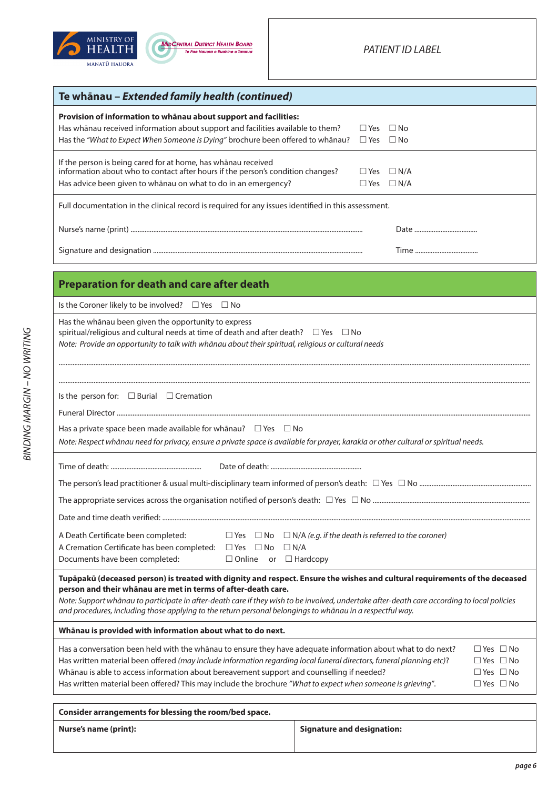



| Te whānau - Extended family health (continued)                                                                                                                                                                                                                                                                                                                                                                                                           |                                                    |
|----------------------------------------------------------------------------------------------------------------------------------------------------------------------------------------------------------------------------------------------------------------------------------------------------------------------------------------------------------------------------------------------------------------------------------------------------------|----------------------------------------------------|
| Provision of information to whanau about support and facilities:<br>Has whānau received information about support and facilities available to them?<br>Has the "What to Expect When Someone is Dying" brochure been offered to whānau?                                                                                                                                                                                                                   | $\square$ Yes<br>$\Box$ No<br>$\Box$ Yes $\Box$ No |
| If the person is being cared for at home, has whānau received<br>information about who to contact after hours if the person's condition changes?<br>Has advice been given to whānau on what to do in an emergency?                                                                                                                                                                                                                                       | $\Box$ Yes $\Box$ N/A<br>$\Box$ Yes $\Box$ N/A     |
| Full documentation in the clinical record is required for any issues identified in this assessment.                                                                                                                                                                                                                                                                                                                                                      |                                                    |
|                                                                                                                                                                                                                                                                                                                                                                                                                                                          |                                                    |
|                                                                                                                                                                                                                                                                                                                                                                                                                                                          |                                                    |
| <b>Preparation for death and care after death</b>                                                                                                                                                                                                                                                                                                                                                                                                        |                                                    |
| Is the Coroner likely to be involved? $\Box$ Yes $\Box$ No                                                                                                                                                                                                                                                                                                                                                                                               |                                                    |
| Has the whānau been given the opportunity to express<br>spiritual/religious and cultural needs at time of death and after death? $\square$ Yes $\square$ No<br>Note: Provide an opportunity to talk with whānau about their spiritual, religious or cultural needs                                                                                                                                                                                       |                                                    |
| Is the person for: $\Box$ Burial $\Box$ Cremation<br>Has a private space been made available for whanau? $\Box$ Yes $\Box$ No                                                                                                                                                                                                                                                                                                                            |                                                    |
| Note: Respect whānau need for privacy, ensure a private space is available for prayer, karakia or other cultural or spiritual needs.                                                                                                                                                                                                                                                                                                                     |                                                    |
|                                                                                                                                                                                                                                                                                                                                                                                                                                                          |                                                    |
| A Death Certificate been completed:<br>$\Box$ Yes $\Box$ No $\Box$ N/A (e.g. if the death is referred to the coroner)<br>A Cremation Certificate has been completed: $\Box$ Yes $\Box$ No<br>$\Box N/A$<br>Documents have been completed:<br>$\Box$ Online<br>or $\Box$ Hardcopy                                                                                                                                                                         |                                                    |
| Tupāpakū (deceased person) is treated with dignity and respect. Ensure the wishes and cultural requirements of the deceased<br>person and their whanau are met in terms of after-death care.<br>Note: Support whānau to participate in after-death care if they wish to be involved, undertake after-death care according to local policies<br>and procedures, including those applying to the return personal belongings to whānau in a respectful way. |                                                    |
| Whānau is provided with information about what to do next.                                                                                                                                                                                                                                                                                                                                                                                               |                                                    |
| Has a conversation been held with the whanau to ensure they have adequate information about what to do next?                                                                                                                                                                                                                                                                                                                                             | $\Box$ Yes $\Box$ No.                              |

| Has a conversation been held with the whanau to ensure they have adequate information about what to do next?         | $\Box$ Yes $\Box$ No |  |
|----------------------------------------------------------------------------------------------------------------------|----------------------|--|
| Has written material been offered (may include information regarding local funeral directors, funeral planning etc)? | $\Box$ Yes $\Box$ No |  |
| Whanau is able to access information about bereavement support and counselling if needed?                            | $\Box$ Yes $\Box$ No |  |
| Has written material been offered? This may include the brochure "What to expect when someone is grieving".          | $\Box$ Yes $\Box$ No |  |

| Consider arrangements for blessing the room/bed space. |                            |
|--------------------------------------------------------|----------------------------|
| Nurse's name (print):                                  | Signature and designation: |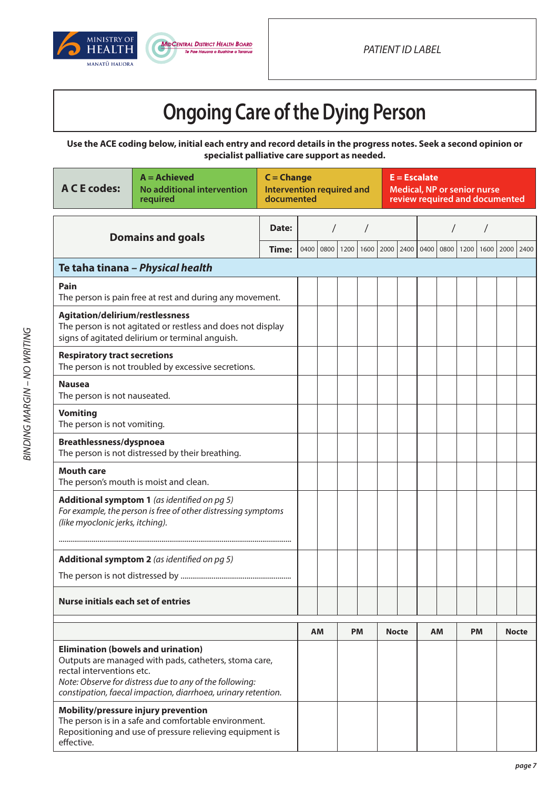



# **Ongoing Care of the Dying Person**

**Use the ACE coding below, initial each entry and record details in the progress notes. Seek a second opinion or specialist palliative care support as needed.**

| <b>A C E codes:</b>                                                                                                                                                                                                                                         | $A =$ Achieved<br>No additional intervention<br>required                                                       | $C = Change$<br><b>Intervention required and</b><br>documented |      |      |      |           | $E = Escalate$<br><b>Medical, NP or senior nurse</b><br>review required and documented |      |      |           |      |           |      |              |
|-------------------------------------------------------------------------------------------------------------------------------------------------------------------------------------------------------------------------------------------------------------|----------------------------------------------------------------------------------------------------------------|----------------------------------------------------------------|------|------|------|-----------|----------------------------------------------------------------------------------------|------|------|-----------|------|-----------|------|--------------|
|                                                                                                                                                                                                                                                             | <b>Domains and goals</b>                                                                                       | Date:                                                          |      |      |      |           |                                                                                        |      |      |           |      |           |      |              |
|                                                                                                                                                                                                                                                             |                                                                                                                | Time:                                                          | 0400 | 0800 | 1200 | 1600      | 2000                                                                                   | 2400 | 0400 | 0800      | 1200 | 1600      | 2000 | 2400         |
|                                                                                                                                                                                                                                                             | Te taha tinana - Physical health                                                                               |                                                                |      |      |      |           |                                                                                        |      |      |           |      |           |      |              |
| Pain                                                                                                                                                                                                                                                        | The person is pain free at rest and during any movement.                                                       |                                                                |      |      |      |           |                                                                                        |      |      |           |      |           |      |              |
| Agitation/delirium/restlessness                                                                                                                                                                                                                             | The person is not agitated or restless and does not display<br>signs of agitated delirium or terminal anguish. |                                                                |      |      |      |           |                                                                                        |      |      |           |      |           |      |              |
| <b>Respiratory tract secretions</b>                                                                                                                                                                                                                         | The person is not troubled by excessive secretions.                                                            |                                                                |      |      |      |           |                                                                                        |      |      |           |      |           |      |              |
| <b>Nausea</b><br>The person is not nauseated.                                                                                                                                                                                                               |                                                                                                                |                                                                |      |      |      |           |                                                                                        |      |      |           |      |           |      |              |
| <b>Vomiting</b><br>The person is not vomiting.                                                                                                                                                                                                              |                                                                                                                |                                                                |      |      |      |           |                                                                                        |      |      |           |      |           |      |              |
| Breathlessness/dyspnoea<br>The person is not distressed by their breathing.                                                                                                                                                                                 |                                                                                                                |                                                                |      |      |      |           |                                                                                        |      |      |           |      |           |      |              |
| <b>Mouth care</b><br>The person's mouth is moist and clean.                                                                                                                                                                                                 |                                                                                                                |                                                                |      |      |      |           |                                                                                        |      |      |           |      |           |      |              |
| Additional symptom 1 (as identified on pg 5)<br>For example, the person is free of other distressing symptoms<br>(like myoclonic jerks, itching).                                                                                                           |                                                                                                                |                                                                |      |      |      |           |                                                                                        |      |      |           |      |           |      |              |
|                                                                                                                                                                                                                                                             | Additional symptom 2 (as identified on pg 5)                                                                   |                                                                |      |      |      |           |                                                                                        |      |      |           |      |           |      |              |
|                                                                                                                                                                                                                                                             |                                                                                                                |                                                                |      |      |      |           |                                                                                        |      |      |           |      |           |      |              |
| <b>Nurse initials each set of entries</b>                                                                                                                                                                                                                   |                                                                                                                |                                                                |      |      |      |           |                                                                                        |      |      |           |      |           |      |              |
|                                                                                                                                                                                                                                                             |                                                                                                                |                                                                |      | AМ   |      | <b>PM</b> | <b>Nocte</b>                                                                           |      |      | <b>AM</b> |      | <b>PM</b> |      | <b>Nocte</b> |
| <b>Elimination (bowels and urination)</b><br>Outputs are managed with pads, catheters, stoma care,<br>rectal interventions etc.<br>Note: Observe for distress due to any of the following:<br>constipation, faecal impaction, diarrhoea, urinary retention. |                                                                                                                |                                                                |      |      |      |           |                                                                                        |      |      |           |      |           |      |              |
| Mobility/pressure injury prevention<br>The person is in a safe and comfortable environment.<br>Repositioning and use of pressure relieving equipment is<br>effective.                                                                                       |                                                                                                                |                                                                |      |      |      |           |                                                                                        |      |      |           |      |           |      |              |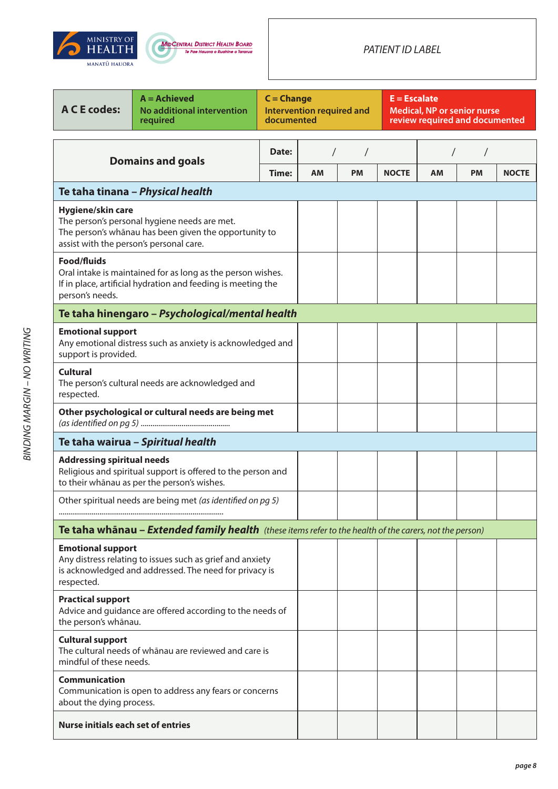



### *PATIENT ID LABEL*

| <b>A C E codes:</b>                                                                                                                                                   | $A =$ Achieved<br>No additional intervention<br>required                                                                    | $C = Change$<br>documented | $E = Escalate$<br><b>Intervention required and</b><br><b>Medical, NP or senior nurse</b><br>review required and documented |           |              |           |           |              |
|-----------------------------------------------------------------------------------------------------------------------------------------------------------------------|-----------------------------------------------------------------------------------------------------------------------------|----------------------------|----------------------------------------------------------------------------------------------------------------------------|-----------|--------------|-----------|-----------|--------------|
|                                                                                                                                                                       | <b>Domains and goals</b>                                                                                                    | Date:                      |                                                                                                                            |           |              |           |           |              |
|                                                                                                                                                                       |                                                                                                                             | Time:                      | <b>AM</b>                                                                                                                  | <b>PM</b> | <b>NOCTE</b> | <b>AM</b> | <b>PM</b> | <b>NOCTE</b> |
|                                                                                                                                                                       | Te taha tinana - Physical health                                                                                            |                            |                                                                                                                            |           |              |           |           |              |
| Hygiene/skin care<br>The person's personal hygiene needs are met.<br>The person's whānau has been given the opportunity to<br>assist with the person's personal care. |                                                                                                                             |                            |                                                                                                                            |           |              |           |           |              |
| <b>Food/fluids</b><br>person's needs.                                                                                                                                 | Oral intake is maintained for as long as the person wishes.<br>If in place, artificial hydration and feeding is meeting the |                            |                                                                                                                            |           |              |           |           |              |
|                                                                                                                                                                       | Te taha hinengaro - Psychological/mental health                                                                             |                            |                                                                                                                            |           |              |           |           |              |
| <b>Emotional support</b><br>support is provided.                                                                                                                      | Any emotional distress such as anxiety is acknowledged and                                                                  |                            |                                                                                                                            |           |              |           |           |              |
| <b>Cultural</b><br>respected.                                                                                                                                         | The person's cultural needs are acknowledged and                                                                            |                            |                                                                                                                            |           |              |           |           |              |
|                                                                                                                                                                       | Other psychological or cultural needs are being met                                                                         |                            |                                                                                                                            |           |              |           |           |              |
| Te taha wairua - Spiritual health                                                                                                                                     |                                                                                                                             |                            |                                                                                                                            |           |              |           |           |              |
| <b>Addressing spiritual needs</b><br>Religious and spiritual support is offered to the person and<br>to their whānau as per the person's wishes.                      |                                                                                                                             |                            |                                                                                                                            |           |              |           |           |              |
| Other spiritual needs are being met (as identified on pg 5)                                                                                                           |                                                                                                                             |                            |                                                                                                                            |           |              |           |           |              |
|                                                                                                                                                                       | <b>Te taha whānau – Extended family health</b> (these items refer to the health of the carers, not the person)              |                            |                                                                                                                            |           |              |           |           |              |
| <b>Emotional support</b><br>respected.                                                                                                                                | Any distress relating to issues such as grief and anxiety<br>is acknowledged and addressed. The need for privacy is         |                            |                                                                                                                            |           |              |           |           |              |
| <b>Practical support</b><br>Advice and guidance are offered according to the needs of<br>the person's whānau.                                                         |                                                                                                                             |                            |                                                                                                                            |           |              |           |           |              |
| <b>Cultural support</b><br>The cultural needs of whanau are reviewed and care is<br>mindful of these needs.                                                           |                                                                                                                             |                            |                                                                                                                            |           |              |           |           |              |
| <b>Communication</b><br>Communication is open to address any fears or concerns<br>about the dying process.                                                            |                                                                                                                             |                            |                                                                                                                            |           |              |           |           |              |
| <b>Nurse initials each set of entries</b>                                                                                                                             |                                                                                                                             |                            |                                                                                                                            |           |              |           |           |              |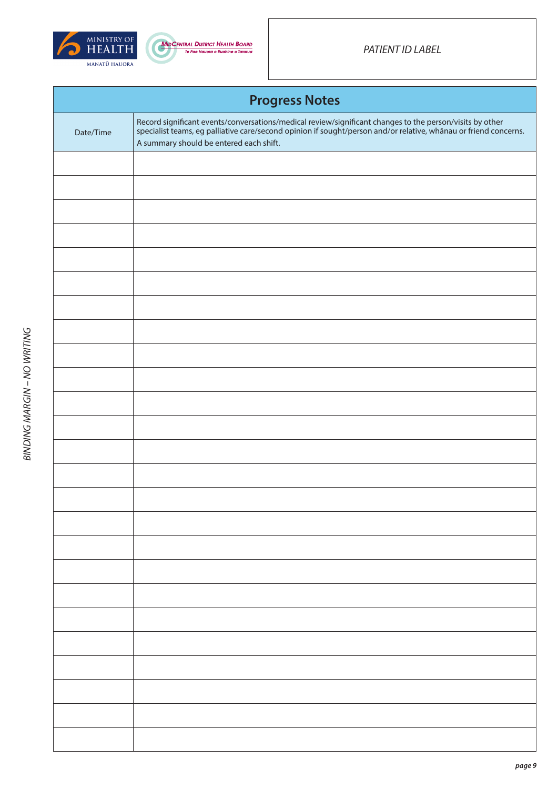



|           | <b>Progress Notes</b>                                                                                                                                                                                                                                                |
|-----------|----------------------------------------------------------------------------------------------------------------------------------------------------------------------------------------------------------------------------------------------------------------------|
| Date/Time | Record significant events/conversations/medical review/significant changes to the person/visits by other specialist teams, eg palliative care/second opinion if sought/person and/or relative, whanau or friend concerns.<br>A summary should be entered each shift. |
|           |                                                                                                                                                                                                                                                                      |
|           |                                                                                                                                                                                                                                                                      |
|           |                                                                                                                                                                                                                                                                      |
|           |                                                                                                                                                                                                                                                                      |
|           |                                                                                                                                                                                                                                                                      |
|           |                                                                                                                                                                                                                                                                      |
|           |                                                                                                                                                                                                                                                                      |
|           |                                                                                                                                                                                                                                                                      |
|           |                                                                                                                                                                                                                                                                      |
|           |                                                                                                                                                                                                                                                                      |
|           |                                                                                                                                                                                                                                                                      |
|           |                                                                                                                                                                                                                                                                      |
|           |                                                                                                                                                                                                                                                                      |
|           |                                                                                                                                                                                                                                                                      |
|           |                                                                                                                                                                                                                                                                      |
|           |                                                                                                                                                                                                                                                                      |
|           |                                                                                                                                                                                                                                                                      |
|           |                                                                                                                                                                                                                                                                      |
|           |                                                                                                                                                                                                                                                                      |
|           |                                                                                                                                                                                                                                                                      |
|           |                                                                                                                                                                                                                                                                      |
|           |                                                                                                                                                                                                                                                                      |
|           |                                                                                                                                                                                                                                                                      |
|           |                                                                                                                                                                                                                                                                      |
|           |                                                                                                                                                                                                                                                                      |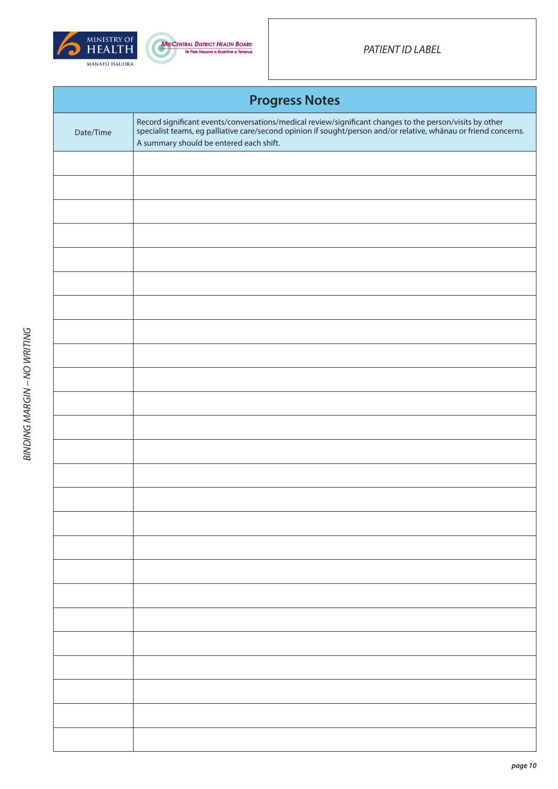



|           | <b>Progress Notes</b>                                                                                                                                                                                                                                                |
|-----------|----------------------------------------------------------------------------------------------------------------------------------------------------------------------------------------------------------------------------------------------------------------------|
| Date/Time | Record significant events/conversations/medical review/significant changes to the person/visits by other specialist teams, eg palliative care/second opinion if sought/person and/or relative, whanau or friend concerns.<br>A summary should be entered each shift. |
|           |                                                                                                                                                                                                                                                                      |
|           |                                                                                                                                                                                                                                                                      |
|           |                                                                                                                                                                                                                                                                      |
|           |                                                                                                                                                                                                                                                                      |
|           |                                                                                                                                                                                                                                                                      |
|           |                                                                                                                                                                                                                                                                      |
|           |                                                                                                                                                                                                                                                                      |
|           |                                                                                                                                                                                                                                                                      |
|           |                                                                                                                                                                                                                                                                      |
|           |                                                                                                                                                                                                                                                                      |
|           |                                                                                                                                                                                                                                                                      |
|           |                                                                                                                                                                                                                                                                      |
|           |                                                                                                                                                                                                                                                                      |
|           |                                                                                                                                                                                                                                                                      |
|           |                                                                                                                                                                                                                                                                      |
|           |                                                                                                                                                                                                                                                                      |
|           |                                                                                                                                                                                                                                                                      |
|           |                                                                                                                                                                                                                                                                      |
|           |                                                                                                                                                                                                                                                                      |
|           |                                                                                                                                                                                                                                                                      |
|           |                                                                                                                                                                                                                                                                      |
|           |                                                                                                                                                                                                                                                                      |
|           |                                                                                                                                                                                                                                                                      |
|           |                                                                                                                                                                                                                                                                      |
|           |                                                                                                                                                                                                                                                                      |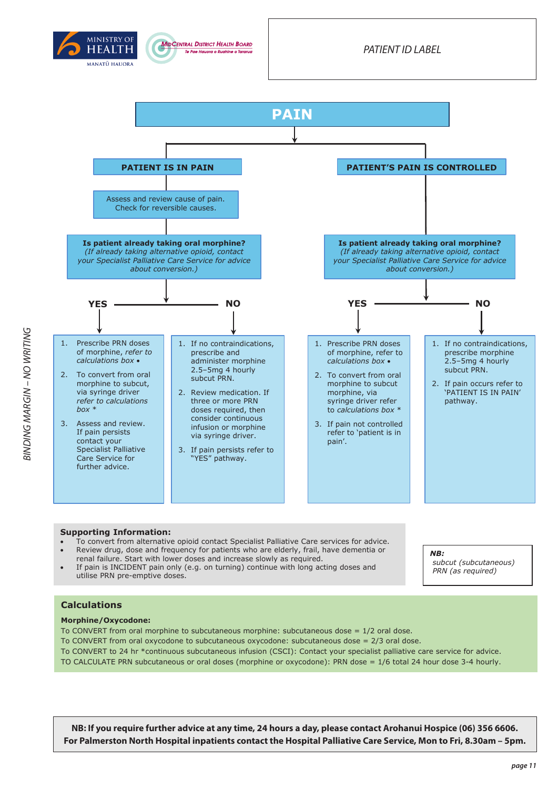





- To convert from alternative opioid contact Specialist Palliative Care services for advice. Review drug, dose and frequency for patients who are elderly, frail, have dementia or
- renal failure. Start with lower doses and increase slowly as required.
- If pain is INCIDENT pain only (e.g. on turning) continue with long acting doses and utilise PRN pre-emptive doses.

### *NB:*

*subcut (subcutaneous) PRN (as required)*

### **Calculations**

### **Morphine/Oxycodone:**

To CONVERT from oral morphine to subcutaneous morphine: subcutaneous dose  $= 1/2$  oral dose. To CONVERT from oral oxycodone to subcutaneous oxycodone: subcutaneous dose = 2/3 oral dose. To CONVERT to 24 hr \*continuous subcutaneous infusion (CSCI): Contact your specialist palliative care service for advice. TO CALCULATE PRN subcutaneous or oral doses (morphine or oxycodone): PRN dose = 1/6 total 24 hour dose 3-4 hourly.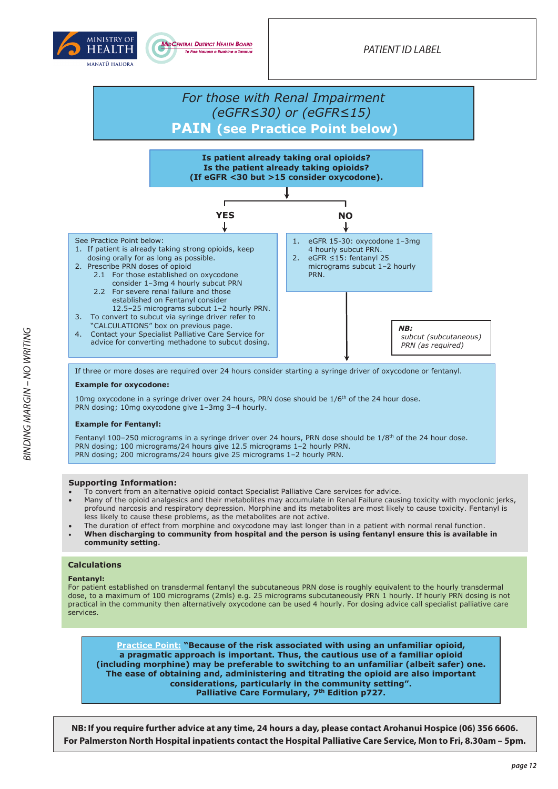



### *For those with Renal Impairment (eGFR≤30) or (eGFR≤15)* **PAIN (see Practice Point below)**



If three or more doses are required over 24 hours consider starting a syringe driver of oxycodone or fentanyl.

#### **Example for oxycodone:**

10mg oxycodone in a syringe driver over 24 hours, PRN dose should be  $1/6<sup>th</sup>$  of the 24 hour dose. PRN dosing; 10mg oxycodone give 1–3mg 3–4 hourly.

#### **Example for Fentanyl:**

Fentanyl 100–250 micrograms in a syringe driver over 24 hours, PRN dose should be  $1/8^{th}$  of the 24 hour dose. PRN dosing; 100 micrograms/24 hours give 12.5 micrograms 1–2 hourly PRN. PRN dosing; 200 micrograms/24 hours give 25 micrograms 1-2 hourly PRN.

### **Supporting Information:**

- To convert from an alternative opioid contact Specialist Palliative Care services for advice.
- Many of the opioid analgesics and their metabolites may accumulate in Renal Failure causing toxicity with myoclonic jerks, profound narcosis and respiratory depression. Morphine and its metabolites are most likely to cause toxicity. Fentanyl is less likely to cause these problems, as the metabolites are not active.
- The duration of effect from morphine and oxycodone may last longer than in a patient with normal renal function.
- **When discharging to community from hospital and the person is using fentanyl ensure this is available in community setting.**

#### **Calculations**

#### **Fentanyl:**

For patient established on transdermal fentanyl the subcutaneous PRN dose is roughly equivalent to the hourly transdermal dose, to a maximum of 100 micrograms (2mls) e.g. 25 micrograms subcutaneously PRN 1 hourly. If hourly PRN dosing is not practical in the community then alternatively oxycodone can be used 4 hourly. For dosing advice call specialist palliative care services.

**Practice Point: "Because of the risk associated with using an unfamiliar opioid, a pragmatic approach is important. Thus, the cautious use of a familiar opioid (including morphine) may be preferable to switching to an unfamiliar (albeit safer) one. The ease of obtaining and, administering and titrating the opioid are also important considerations, particularly in the community setting". Palliative Care Formulary, 7th Edition p727.**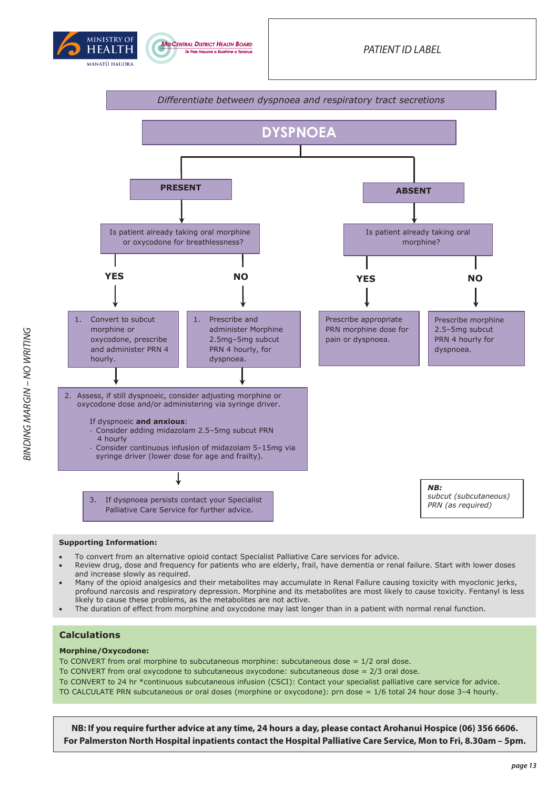





- To convert from an alternative opioid contact Specialist Palliative Care services for advice.
- Review drug, dose and frequency for patients who are elderly, frail, have dementia or renal failure. Start with lower doses and increase slowly as required.
- Many of the opioid analgesics and their metabolites may accumulate in Renal Failure causing toxicity with myoclonic jerks, profound narcosis and respiratory depression. Morphine and its metabolites are most likely to cause toxicity. Fentanyl is less likely to cause these problems, as the metabolites are not active.
- The duration of effect from morphine and oxycodone may last longer than in a patient with normal renal function.

### **Calculations**

#### **Morphine/Oxycodone:**

To CONVERT from oral morphine to subcutaneous morphine: subcutaneous dose =  $1/2$  oral dose. To CONVERT from oral oxycodone to subcutaneous oxycodone: subcutaneous dose = 2/3 oral dose. To CONVERT to 24 hr \*continuous subcutaneous infusion (CSCI): Contact your specialist palliative care service for advice. TO CALCULATE PRN subcutaneous or oral doses (morphine or oxycodone): prn dose = 1/6 total 24 hour dose 3–4 hourly.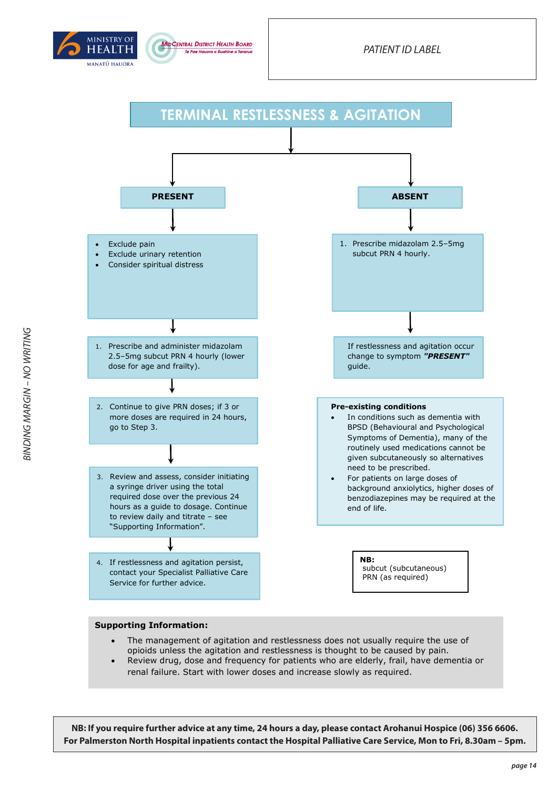





- The management of agitation and restlessness does not usually require the use of opioids unless the agitation and restlessness is thought to be caused by pain.
- Review drug, dose and frequency for patients who are elderly, frail, have dementia or renal failure. Start with lower doses and increase slowly as required.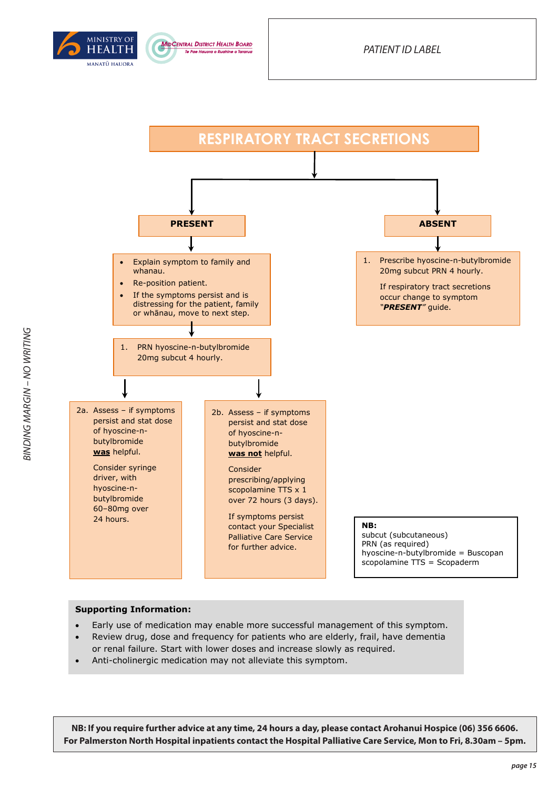





- Early use of medication may enable more successful management of this symptom.
- Review drug, dose and frequency for patients who are elderly, frail, have dementia or renal failure. Start with lower doses and increase slowly as required.
- Anti-cholinergic medication may not alleviate this symptom.